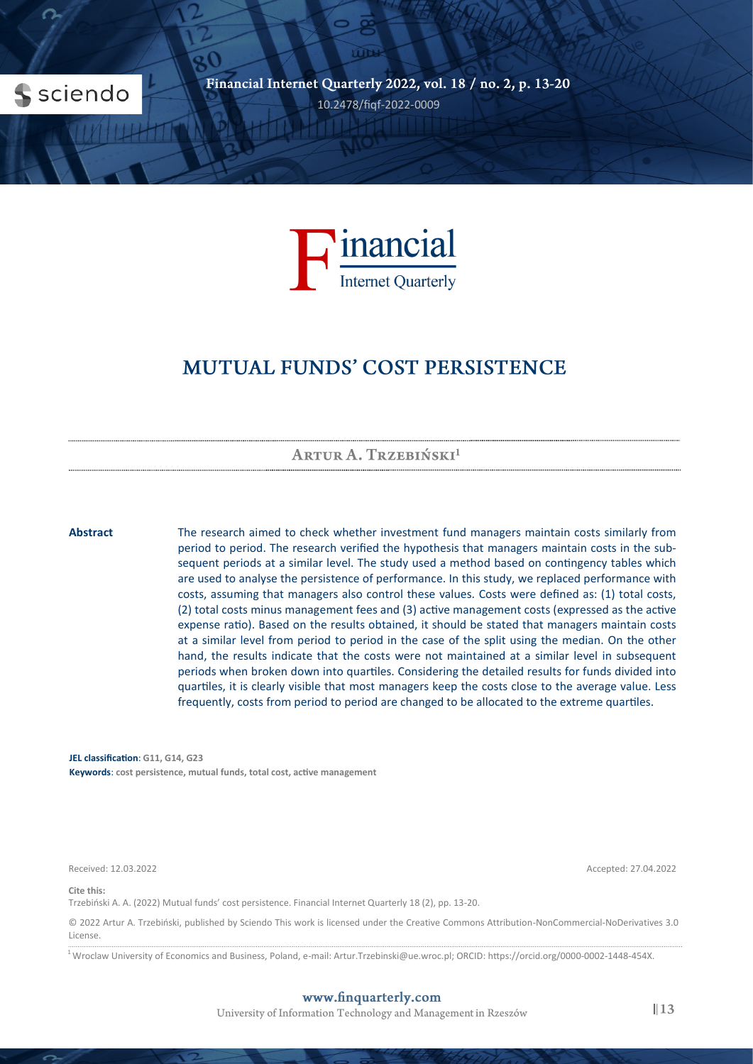



# **MUTUAL FUNDS' COST PERSISTENCE**

ARTUR A. TRZEBIŃSKI<sup>1</sup>

**Abstract** The research aimed to check whether investment fund managers maintain costs similarly from period to period. The research verified the hypothesis that managers maintain costs in the subsequent periods at a similar level. The study used a method based on contingency tables which are used to analyse the persistence of performance. In this study, we replaced performance with costs, assuming that managers also control these values. Costs were defined as: (1) total costs, (2) total costs minus management fees and (3) active management costs (expressed as the active expense ratio). Based on the results obtained, it should be stated that managers maintain costs at a similar level from period to period in the case of the split using the median. On the other hand, the results indicate that the costs were not maintained at a similar level in subsequent periods when broken down into quartiles. Considering the detailed results for funds divided into quartiles, it is clearly visible that most managers keep the costs close to the average value. Less frequently, costs from period to period are changed to be allocated to the extreme quartiles.

**JEL classification**: **G11, G14, G23 Keywords**: **cost persistence, mutual funds, total cost, active management**

Received: 12.03.2022 Accepted: 27.04.2022

**Cite this:**

Trzebiński A. A. (2022) Mutual funds' cost persistence. Financial Internet Quarterly 18 (2), pp. 13-20.

© 2022 Artur A. Trzebiński, published by Sciendo This work is licensed under the Creative Commons Attribution-NonCommercial-NoDerivatives 3.0 License.

 $^1$ Wroclaw University of Economics and Business, Poland, e-mail: Artur.Trzebinski@ue.wroc.pl; ORCID: https://orcid.org/0000-0002-1448-454X.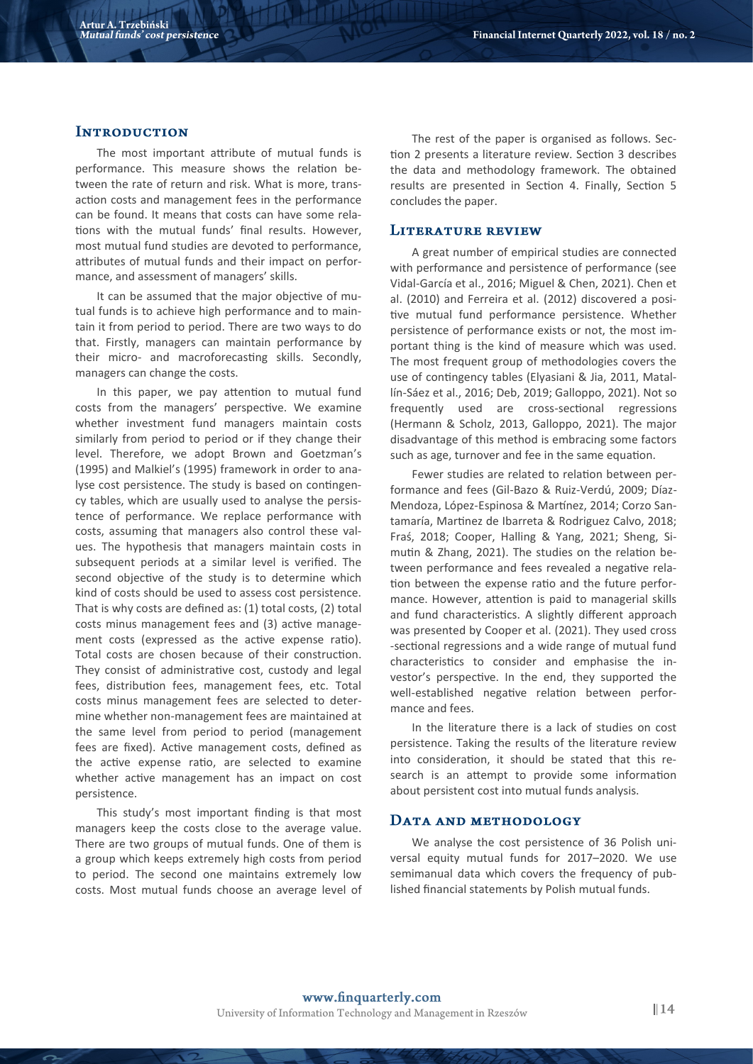### **INTRODUCTION**

The most important attribute of mutual funds is performance. This measure shows the relation between the rate of return and risk. What is more, transaction costs and management fees in the performance can be found. It means that costs can have some relations with the mutual funds' final results. However, most mutual fund studies are devoted to performance, attributes of mutual funds and their impact on performance, and assessment of managers' skills.

It can be assumed that the major objective of mutual funds is to achieve high performance and to maintain it from period to period. There are two ways to do that. Firstly, managers can maintain performance by their micro- and macroforecasting skills. Secondly, managers can change the costs.

In this paper, we pay attention to mutual fund costs from the managers' perspective. We examine whether investment fund managers maintain costs similarly from period to period or if they change their level. Therefore, we adopt Brown and Goetzman's (1995) and Malkiel's (1995) framework in order to analyse cost persistence. The study is based on contingency tables, which are usually used to analyse the persistence of performance. We replace performance with costs, assuming that managers also control these values. The hypothesis that managers maintain costs in subsequent periods at a similar level is verified. The second objective of the study is to determine which kind of costs should be used to assess cost persistence. That is why costs are defined as: (1) total costs, (2) total costs minus management fees and (3) active management costs (expressed as the active expense ratio). Total costs are chosen because of their construction. They consist of administrative cost, custody and legal fees, distribution fees, management fees, etc. Total costs minus management fees are selected to determine whether non-management fees are maintained at the same level from period to period (management fees are fixed). Active management costs, defined as the active expense ratio, are selected to examine whether active management has an impact on cost persistence.

This study's most important finding is that most managers keep the costs close to the average value. There are two groups of mutual funds. One of them is a group which keeps extremely high costs from period to period. The second one maintains extremely low costs. Most mutual funds choose an average level of

The rest of the paper is organised as follows. Section 2 presents a literature review. Section 3 describes the data and methodology framework. The obtained results are presented in Section 4. Finally, Section 5 concludes the paper.

## **LITERATURE REVIEW**

A great number of empirical studies are connected with performance and persistence of performance (see Vidal-García et al., 2016; Miguel & Chen, 2021). Chen et al. (2010) and Ferreira et al. (2012) discovered a positive mutual fund performance persistence. Whether persistence of performance exists or not, the most important thing is the kind of measure which was used. The most frequent group of methodologies covers the use of contingency tables (Elyasiani & Jia, 2011, Matallín-Sáez et al., 2016; Deb, 2019; Galloppo, 2021). Not so frequently used are cross-sectional regressions (Hermann & Scholz, 2013, Galloppo, 2021). The major disadvantage of this method is embracing some factors such as age, turnover and fee in the same equation.

Fewer studies are related to relation between performance and fees (Gil-Bazo & Ruiz-Verdú, 2009; Díaz-Mendoza, López-Espinosa & Martínez, 2014; Corzo Santamaría, Martinez de Ibarreta & Rodriguez Calvo, 2018; Fraś, 2018; Cooper, Halling & Yang, 2021; Sheng, Simutin & Zhang, 2021). The studies on the relation between performance and fees revealed a negative relation between the expense ratio and the future performance. However, attention is paid to managerial skills and fund characteristics. A slightly different approach was presented by Cooper et al. (2021). They used cross -sectional regressions and a wide range of mutual fund characteristics to consider and emphasise the investor's perspective. In the end, they supported the well-established negative relation between performance and fees.

In the literature there is a lack of studies on cost persistence. Taking the results of the literature review into consideration, it should be stated that this research is an attempt to provide some information about persistent cost into mutual funds analysis.

#### DATA AND METHODOLOGY

We analyse the cost persistence of 36 Polish universal equity mutual funds for 2017–2020. We use semimanual data which covers the frequency of published financial statements by Polish mutual funds.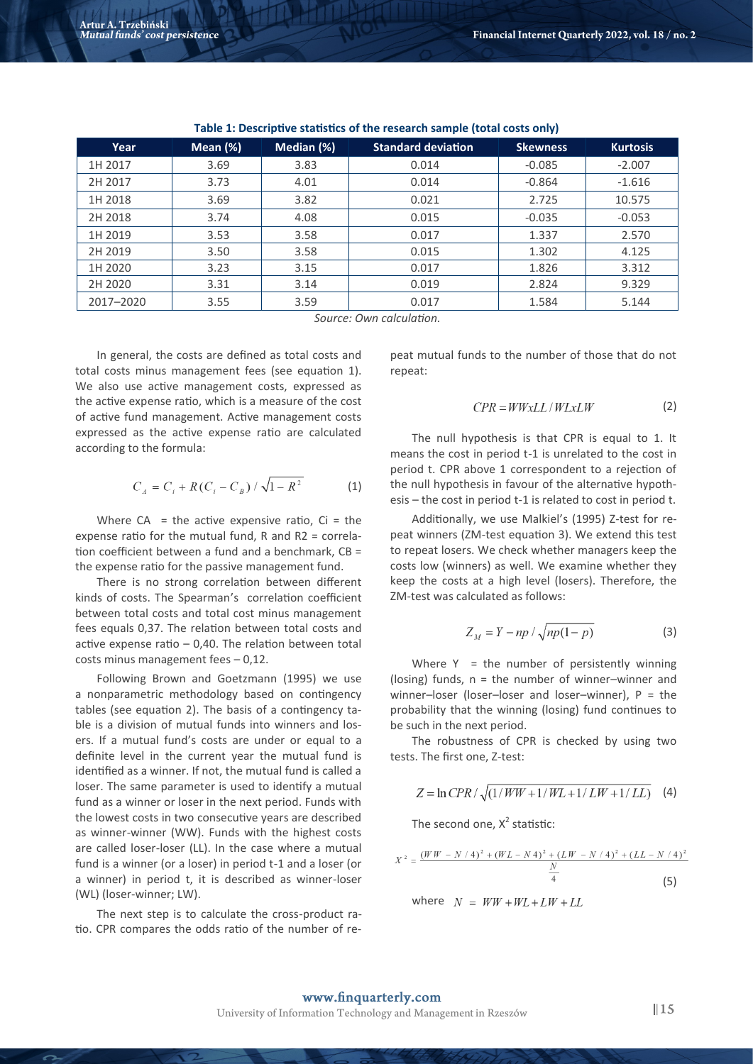| Year      | Mean $(\%)$ | Median (%) | <b>Standard deviation</b> | <b>Skewness</b> | <b>Kurtosis</b> |
|-----------|-------------|------------|---------------------------|-----------------|-----------------|
| 1H 2017   | 3.69        | 3.83       | 0.014                     | $-0.085$        | $-2.007$        |
| 2H 2017   | 3.73        | 4.01       | 0.014                     | $-0.864$        | $-1.616$        |
| 1H 2018   | 3.69        | 3.82       | 0.021                     | 2.725           | 10.575          |
| 2H 2018   | 3.74        | 4.08       | 0.015                     | $-0.035$        | $-0.053$        |
| 1H 2019   | 3.53        | 3.58       | 0.017                     | 1.337           | 2.570           |
| 2H 2019   | 3.50        | 3.58       | 0.015                     | 1.302           | 4.125           |
| 1H 2020   | 3.23        | 3.15       | 0.017                     | 1.826           | 3.312           |
| 2H 2020   | 3.31        | 3.14       | 0.019                     | 2.824           | 9.329           |
| 2017-2020 | 3.55        | 3.59       | 0.017                     | 1.584           | 5.144           |

#### **Table 1: Descriptive statistics of the research sample (total costs only)**

*Source: Own calculation.*

In general, the costs are defined as total costs and total costs minus management fees (see equation 1). We also use active management costs, expressed as the active expense ratio, which is a measure of the cost of active fund management. Active management costs expressed as the active expense ratio are calculated according to the formula:

$$
C_A = C_i + R(C_i - C_B) / \sqrt{1 - R^2}
$$
 (1)

Where  $CA =$  the active expensive ratio,  $Ci =$  the expense ratio for the mutual fund, R and R2 = correlation coefficient between a fund and a benchmark, CB = the expense ratio for the passive management fund.

There is no strong correlation between different kinds of costs. The Spearman's correlation coefficient between total costs and total cost minus management fees equals 0,37. The relation between total costs and active expense ratio – 0,40. The relation between total costs minus management fees – 0,12.

Following Brown and Goetzmann (1995) we use a nonparametric methodology based on contingency tables (see equation 2). The basis of a contingency table is a division of mutual funds into winners and losers. If a mutual fund's costs are under or equal to a definite level in the current year the mutual fund is identified as a winner. If not, the mutual fund is called a loser. The same parameter is used to identify a mutual fund as a winner or loser in the next period. Funds with the lowest costs in two consecutive years are described as winner-winner (WW). Funds with the highest costs are called loser-loser (LL). In the case where a mutual fund is a winner (or a loser) in period t-1 and a loser (or a winner) in period t, it is described as winner-loser (WL) (loser-winner; LW).

The next step is to calculate the cross-product ratio. CPR compares the odds ratio of the number of repeat mutual funds to the number of those that do not repeat:

$$
CPR = WWxLL / WLxLW
$$
 (2)

The null hypothesis is that CPR is equal to 1. It means the cost in period t-1 is unrelated to the cost in period t. CPR above 1 correspondent to a rejection of the null hypothesis in favour of the alternative hypothesis – the cost in period t-1 is related to cost in period t.

Additionally, we use Malkiel's (1995) Z-test for repeat winners (ZM-test equation 3). We extend this test to repeat losers. We check whether managers keep the costs low (winners) as well. We examine whether they keep the costs at a high level (losers). Therefore, the ZM-test was calculated as follows:

$$
Z_M = Y - np / \sqrt{np(1-p)}
$$
 (3)

Where  $Y =$  the number of persistently winning (losing) funds,  $n =$  the number of winner–winner and winner–loser (loser–loser and loser–winner), P = the probability that the winning (losing) fund continues to be such in the next period.

The robustness of CPR is checked by using two tests. The first one, Z-test:

$$
Z = \ln \text{CPR} / \sqrt{(1/WW + 1/WL + 1/LW + 1/LL)} \tag{4}
$$

The second one,  $X^2$  statistic:

$$
X^{2} = \frac{(WW - N/4)^{2} + (WL - N4)^{2} + (LW - N/4)^{2} + (LL - N/4)^{2}}{\frac{N}{4}}
$$
\n(5)  
\nwhere  $N = WW + WL + LW + LL$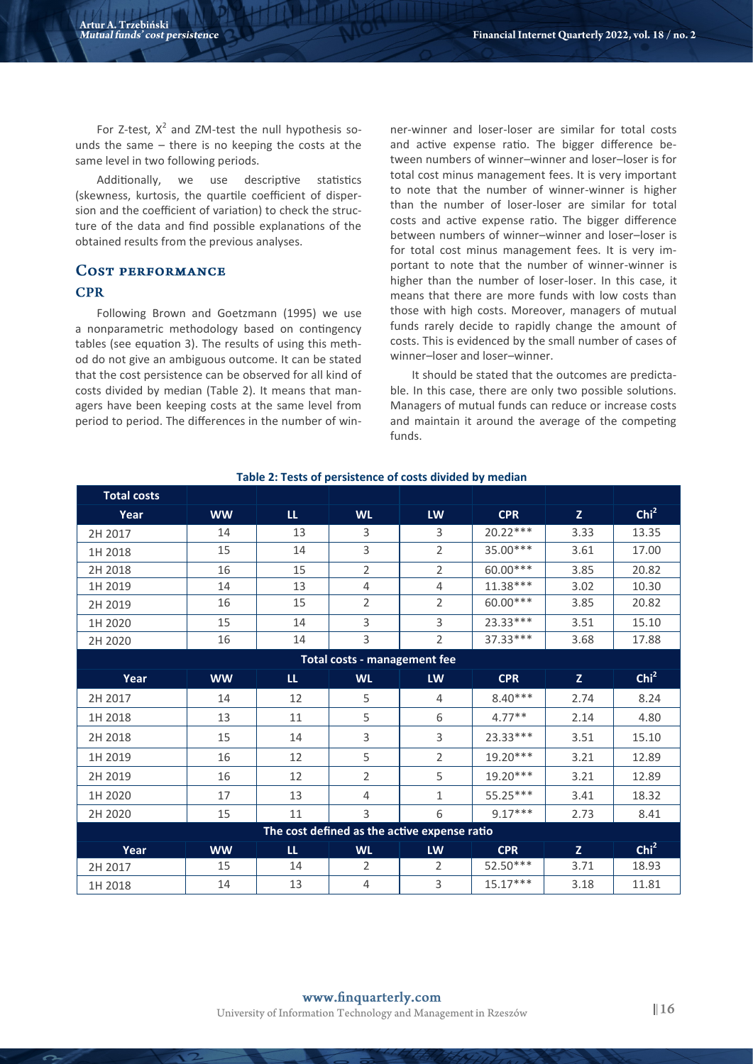For Z-test,  $X^2$  and ZM-test the null hypothesis sounds the same – there is no keeping the costs at the same level in two following periods.

Additionally, we use descriptive statistics (skewness, kurtosis, the quartile coefficient of dispersion and the coefficient of variation) to check the structure of the data and find possible explanations of the obtained results from the previous analyses.

# **COST PERFORMANCE CPR**

Following Brown and Goetzmann (1995) we use a nonparametric methodology based on contingency tables (see equation 3). The results of using this method do not give an ambiguous outcome. It can be stated that the cost persistence can be observed for all kind of costs divided by median (Table 2). It means that managers have been keeping costs at the same level from period to period. The differences in the number of winner-winner and loser-loser are similar for total costs and active expense ratio. The bigger difference between numbers of winner–winner and loser–loser is for total cost minus management fees. It is very important to note that the number of winner-winner is higher than the number of loser-loser are similar for total costs and active expense ratio. The bigger difference between numbers of winner–winner and loser–loser is for total cost minus management fees. It is very important to note that the number of winner-winner is higher than the number of loser-loser. In this case, it means that there are more funds with low costs than those with high costs. Moreover, managers of mutual funds rarely decide to rapidly change the amount of costs. This is evidenced by the small number of cases of winner–loser and loser–winner.

It should be stated that the outcomes are predictable. In this case, there are only two possible solutions. Managers of mutual funds can reduce or increase costs and maintain it around the average of the competing funds.

| <b>Total costs</b>                           |                                     |               |                |                |            |              |                  |  |  |  |
|----------------------------------------------|-------------------------------------|---------------|----------------|----------------|------------|--------------|------------------|--|--|--|
| Year                                         | <b>WW</b>                           | $\mathbf{u}$  | <b>WL</b>      | <b>LW</b>      | <b>CPR</b> | $\mathbf{Z}$ | Chi <sup>2</sup> |  |  |  |
| 2H 2017                                      | 14                                  | 13            | 3              | 3              | $20.22***$ | 3.33         | 13.35            |  |  |  |
| 1H 2018                                      | 15                                  | 14            | 3              | $\overline{2}$ | 35.00 ***  | 3.61         | 17.00            |  |  |  |
| 2H 2018                                      | 16                                  | 15            | $\overline{2}$ | $\overline{2}$ | 60.00***   | 3.85         | 20.82            |  |  |  |
| 1H 2019                                      | 14                                  | 13            | $\overline{4}$ | $\overline{4}$ | $11.38***$ | 3.02         | 10.30            |  |  |  |
| 2H 2019                                      | 16                                  | 15            | $\overline{2}$ | $\overline{2}$ | 60.00***   | 3.85         | 20.82            |  |  |  |
| 1H 2020                                      | 15                                  | 14            | 3              | $\overline{3}$ | 23.33***   | 3.51         | 15.10            |  |  |  |
| 2H 2020                                      | 16                                  | 14            | 3              | $\overline{2}$ | 37.33 ***  | 3.68         | 17.88            |  |  |  |
|                                              | <b>Total costs - management fee</b> |               |                |                |            |              |                  |  |  |  |
| Year                                         | <b>WW</b>                           | ${\sf LL}$    | <b>WL</b>      | LW             | <b>CPR</b> | $\mathbf{Z}$ | Chi <sup>2</sup> |  |  |  |
| 2H 2017                                      | 14                                  | 12            | 5              | 4              | $8.40***$  | 2.74         | 8.24             |  |  |  |
| 1H 2018                                      | 13                                  | 11            | 5              | 6              | $4.77**$   | 2.14         | 4.80             |  |  |  |
| 2H 2018                                      | 15                                  | 14            | 3              | 3              | 23.33***   | 3.51         | 15.10            |  |  |  |
| 1H 2019                                      | 16                                  | 12            | 5              | $\overline{2}$ | $19.20***$ | 3.21         | 12.89            |  |  |  |
| 2H 2019                                      | 16                                  | 12            | $\overline{2}$ | 5              | 19.20***   | 3.21         | 12.89            |  |  |  |
| 1H 2020                                      | 17                                  | 13            | $\overline{4}$ | $\mathbf{1}$   | 55.25***   | 3.41         | 18.32            |  |  |  |
| 2H 2020                                      | 15                                  | $11\,$        | 3              | 6              | $9.17***$  | 2.73         | 8.41             |  |  |  |
| The cost defined as the active expense ratio |                                     |               |                |                |            |              |                  |  |  |  |
| Year                                         | <b>WW</b>                           | $\mathfrak u$ | <b>WL</b>      | <b>LW</b>      | <b>CPR</b> | $\mathbf{Z}$ | Chi <sup>2</sup> |  |  |  |
| 2H 2017                                      | 15                                  | 14            | $\overline{2}$ | $\overline{2}$ | $52.50***$ | 3.71         | 18.93            |  |  |  |
| 1H 2018                                      | 14                                  | 13            | $\overline{4}$ | 3              | $15.17***$ | 3.18         | 11.81            |  |  |  |

#### **Table 2: Tests of persistence of costs divided by median**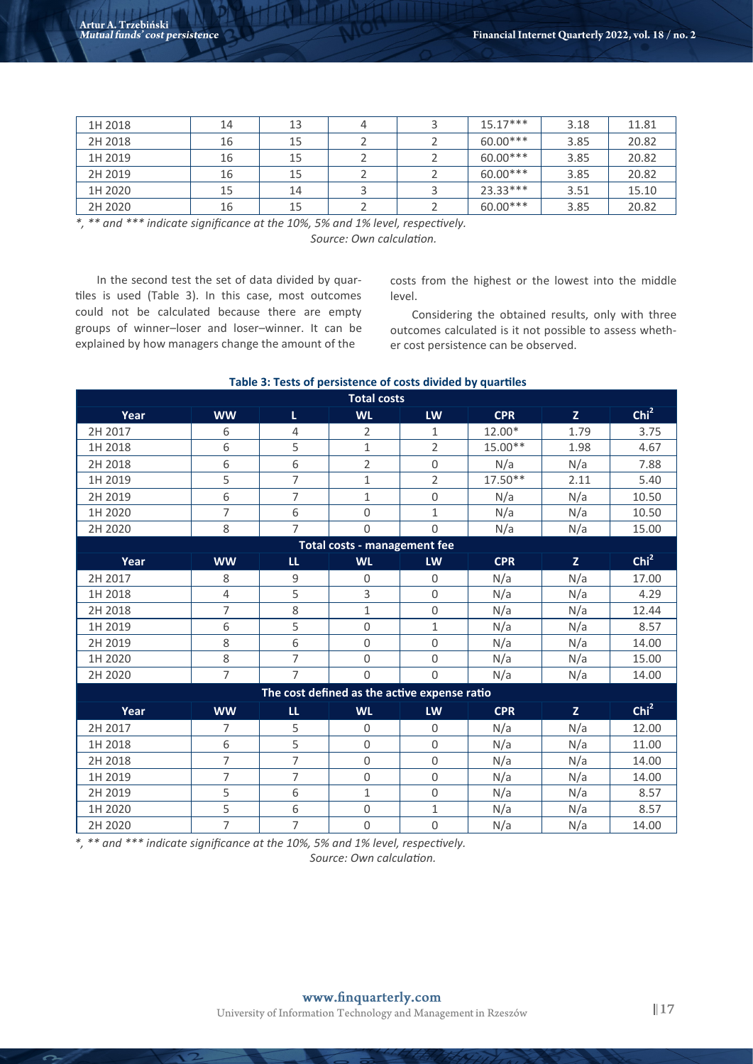| 1H 2018 | 14 | 13 |  | $15.17***$ | 3.18 | 11.81 |
|---------|----|----|--|------------|------|-------|
| 2H 2018 | 16 | 15 |  | $60.00***$ | 3.85 | 20.82 |
| 1H 2019 | 16 | 15 |  | $60.00***$ | 3.85 | 20.82 |
| 2H 2019 | 16 | 15 |  | $60.00***$ | 3.85 | 20.82 |
| 1H 2020 | 15 | 14 |  | $23.33***$ | 3.51 | 15.10 |
| 2H 2020 | 16 | 15 |  | $60.00***$ | 3.85 | 20.82 |

|  |  | *, ** and *** indicate significance at the 10%, 5% and 1% level, respectively. |  |  |  |                          |  |
|--|--|--------------------------------------------------------------------------------|--|--|--|--------------------------|--|
|  |  |                                                                                |  |  |  | Source: Own calculation. |  |

In the second test the set of data divided by quartiles is used (Table 3). In this case, most outcomes could not be calculated because there are empty groups of winner–loser and loser–winner. It can be explained by how managers change the amount of the

costs from the highest or the lowest into the middle level.

Considering the obtained results, only with three outcomes calculated is it not possible to assess whether cost persistence can be observed.

| Table 3: Tests of persistence of costs divided by quartiles |  |
|-------------------------------------------------------------|--|
|-------------------------------------------------------------|--|

| <b>Total costs</b> |                |                |                                              |                  |            |              |                  |  |  |
|--------------------|----------------|----------------|----------------------------------------------|------------------|------------|--------------|------------------|--|--|
| Year               | <b>WW</b>      | L.             | <b>WL</b>                                    | LW               | <b>CPR</b> | $\mathbf{Z}$ | Chi <sup>2</sup> |  |  |
| 2H 2017            | 6              | 4              | $\overline{2}$                               | $\mathbf{1}$     | 12.00*     | 1.79         | 3.75             |  |  |
| 1H 2018            | 6              | 5              | $\mathbf{1}$                                 | $\overline{2}$   | 15.00**    | 1.98         | 4.67             |  |  |
| 2H 2018            | 6              | 6              | $\overline{2}$                               | $\mathbf 0$      | N/a        | N/a          | 7.88             |  |  |
| 1H 2019            | 5              | $\overline{7}$ | $\mathbf{1}$                                 | $\overline{2}$   | 17.50**    | 2.11         | 5.40             |  |  |
| 2H 2019            | 6              | $\overline{7}$ | $\mathbf{1}$                                 | $\mathbf 0$      | N/a        | N/a          | 10.50            |  |  |
| 1H 2020            | $\overline{7}$ | 6              | $\mathsf 0$                                  | $\mathbf{1}$     | N/a        | N/a          | 10.50            |  |  |
| 2H 2020            | 8              | $\overline{7}$ | 0                                            | $\mathbf 0$      | N/a        | N/a          | 15.00            |  |  |
|                    |                |                | <b>Total costs - management fee</b>          |                  |            |              |                  |  |  |
| Year               | <b>WW</b>      | LL.            | <b>WL</b>                                    | LW               | <b>CPR</b> | $\mathbf{Z}$ | Chi <sup>2</sup> |  |  |
| 2H 2017            | 8              | $\mathsf g$    | $\mathbf 0$                                  | $\overline{0}$   | N/a        | N/a          | 17.00            |  |  |
| 1H 2018            | $\overline{4}$ | 5              | 3                                            | $\mathsf 0$      | N/a        | N/a          | 4.29             |  |  |
| 2H 2018            | 7              | 8              | $\mathbf{1}$                                 | $\mathbf 0$      | N/a        | N/a          | 12.44            |  |  |
| 1H 2019            | 6              | 5              | 0                                            | $\mathbf{1}$     | N/a        | N/a          | 8.57             |  |  |
| 2H 2019            | 8              | 6              | 0                                            | $\mathbf 0$      | N/a        | N/a          | 14.00            |  |  |
| 1H 2020            | 8              | 7              | $\mathsf{O}\xspace$                          | $\mathbf 0$      | N/a        | N/a          | 15.00            |  |  |
| 2H 2020            | $\overline{7}$ | $\overline{7}$ | $\mathsf{O}\xspace$                          | $\boldsymbol{0}$ | N/a        | N/a          | 14.00            |  |  |
|                    |                |                | The cost defined as the active expense ratio |                  |            |              |                  |  |  |
| Year               | <b>WW</b>      | L              | <b>WL</b>                                    | LW               | <b>CPR</b> | $\mathbf{Z}$ | Chi <sup>2</sup> |  |  |
| 2H 2017            | 7              | 5              | $\mathbf 0$                                  | $\Omega$         | N/a        | N/a          | 12.00            |  |  |
| 1H 2018            | 6              | 5              | 0                                            | $\mathbf 0$      | N/a        | N/a          | 11.00            |  |  |
| 2H 2018            | $\overline{7}$ | $\overline{7}$ | $\mathbf 0$                                  | $\mathbf 0$      | N/a        | N/a          | 14.00            |  |  |
| 1H 2019            | $\overline{7}$ | 7              | $\mathsf{O}\xspace$                          | $\mathbf 0$      | N/a        | N/a          | 14.00            |  |  |
| 2H 2019            | 5              | 6              | $\mathbf 1$                                  | $\mathbf 0$      | N/a        | N/a          | 8.57             |  |  |
| 1H 2020            | 5              | 6              | $\mathsf{O}\xspace$                          | $\mathbf{1}$     | N/a        | N/a          | 8.57             |  |  |
| 2H 2020            | $\overline{7}$ | 7              | $\mathbf 0$                                  | $\overline{0}$   | N/a        | N/a          | 14.00            |  |  |

*\*, \*\* and \*\*\* indicate significance at the 10%, 5% and 1% level, respectively. Source: Own calculation.*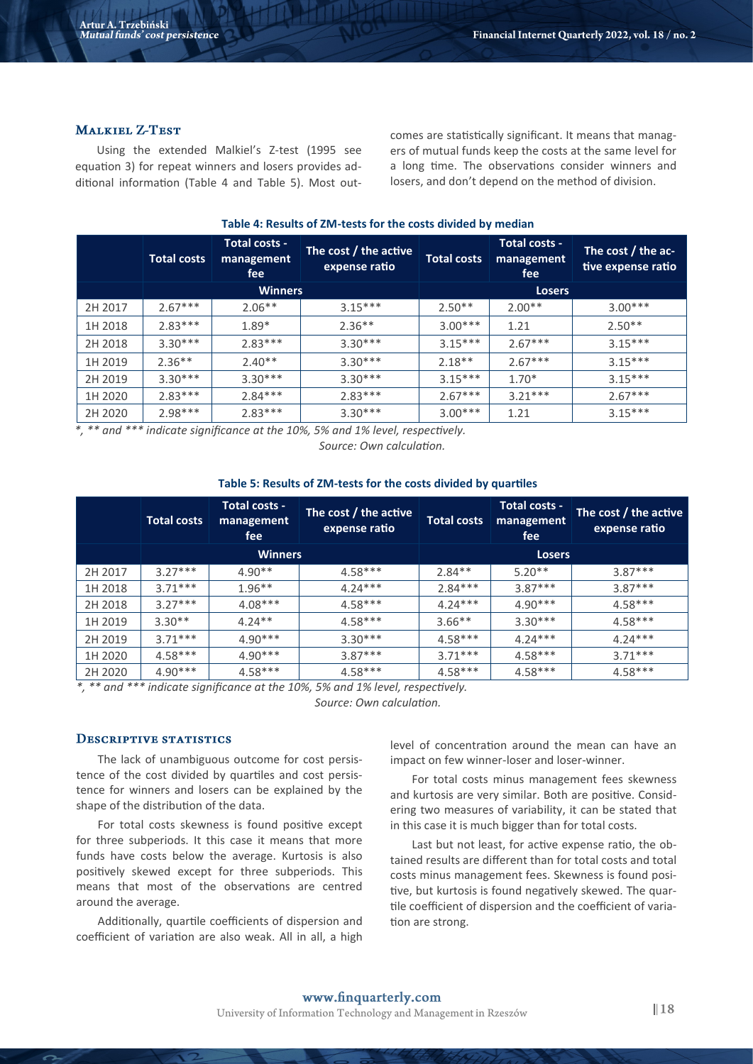#### **MALKIEL Z-TEST**

Using the extended Malkiel's Z-test (1995 see equation 3) for repeat winners and losers provides additional information (Table 4 and Table 5). Most outcomes are statistically significant. It means that managers of mutual funds keep the costs at the same level for a long time. The observations consider winners and losers, and don't depend on the method of division.

| Table 4: Results of ZM-tests for the costs divided by median |                    |                                    |                                        |                    |                                    |                                          |  |  |
|--------------------------------------------------------------|--------------------|------------------------------------|----------------------------------------|--------------------|------------------------------------|------------------------------------------|--|--|
|                                                              | <b>Total costs</b> | Total costs -<br>management<br>fee | The cost / the active<br>expense ratio | <b>Total costs</b> | Total costs -<br>management<br>fee | The cost / the ac-<br>tive expense ratio |  |  |
|                                                              | <b>Winners</b>     |                                    |                                        |                    | <b>Losers</b>                      |                                          |  |  |
| 2H 2017                                                      | $2.67***$          | $2.06**$                           | $3.15***$                              | $2.50**$           | $2.00**$                           | $3.00***$                                |  |  |
| 1H 2018                                                      | $2.83***$          | $1.89*$                            | $2.36**$                               | $3.00***$          | 1.21                               | $2.50**$                                 |  |  |
| 2H 2018                                                      | $3.30***$          | $2.83***$                          | $3.30***$                              | $3.15***$          | $2.67***$                          | $3.15***$                                |  |  |
| 1H 2019                                                      | $2.36**$           | $2.40**$                           | $3.30***$                              | $2.18**$           | $2.67***$                          | $3.15***$                                |  |  |
| 2H 2019                                                      | $3.30***$          | $3.30***$                          | $3.30***$                              | $3.15***$          | $1.70*$                            | $3.15***$                                |  |  |
| 1H 2020                                                      | $2.83***$          | $2.84***$                          | $2.83***$                              | $2.67***$          | $3.21***$                          | $2.67***$                                |  |  |
| 2H 2020                                                      | $2.98***$          | $2.83***$                          | $3.30***$                              | $3.00***$          | 1.21                               | $3.15***$                                |  |  |

*\*, \*\* and \*\*\* indicate significance at the 10%, 5% and 1% level, respectively.*

*Source: Own calculation.*

|         | <b>Total costs</b> | Total costs -<br>management<br>fee | The cost / the active<br>expense ratio | <b>Total costs</b> | Total costs -<br>management<br>fee | The cost / the active<br>expense ratio |  |
|---------|--------------------|------------------------------------|----------------------------------------|--------------------|------------------------------------|----------------------------------------|--|
|         |                    | <b>Winners</b>                     |                                        | <b>Losers</b>      |                                    |                                        |  |
| 2H 2017 | $3.27***$          | $4.90**$                           | $4.58***$                              | $2.84**$           | $5.20**$                           | $3.87***$                              |  |
| 1H 2018 | $371***$           | $1.96**$                           | $4.24***$                              | $2.84***$          | $3.87***$                          | $3.87***$                              |  |
| 2H 2018 | $3.27***$          | $4.08***$                          | $4.58***$                              | $4.24***$          | $4.90***$                          | $4.58***$                              |  |
| 1H 2019 | $3.30**$           | $4.24**$                           | $4.58***$                              | $3.66**$           | $3.30***$                          | $4.58***$                              |  |
| 2H 2019 | $371***$           | $4.90***$                          | $3.30***$                              | $4.58***$          | $4.24***$                          | $4.24***$                              |  |
| 1H 2020 | $4.58***$          | $4.90***$                          | $3.87***$                              | $3.71***$          | $4.58***$                          | $3.71***$                              |  |
| 2H 2020 | $4.90***$          | $4.58***$                          | $4.58***$                              | $4.58***$          | $4.58***$                          | $4.58***$                              |  |

#### **Table 5: Results of ZM-tests for the costs divided by quartiles**

 $**$  and  $***$  indicate significance at the 10%, 5% and 1% level, respectively.

*Source: Own calculation.*

## **DESCRIPTIVE STATISTICS**

The lack of unambiguous outcome for cost persistence of the cost divided by quartiles and cost persistence for winners and losers can be explained by the shape of the distribution of the data.

For total costs skewness is found positive except for three subperiods. It this case it means that more funds have costs below the average. Kurtosis is also positively skewed except for three subperiods. This means that most of the observations are centred around the average.

Additionally, quartile coefficients of dispersion and coefficient of variation are also weak. All in all, a high level of concentration around the mean can have an impact on few winner-loser and loser-winner.

For total costs minus management fees skewness and kurtosis are very similar. Both are positive. Considering two measures of variability, it can be stated that in this case it is much bigger than for total costs.

Last but not least, for active expense ratio, the obtained results are different than for total costs and total costs minus management fees. Skewness is found positive, but kurtosis is found negatively skewed. The quartile coefficient of dispersion and the coefficient of variation are strong.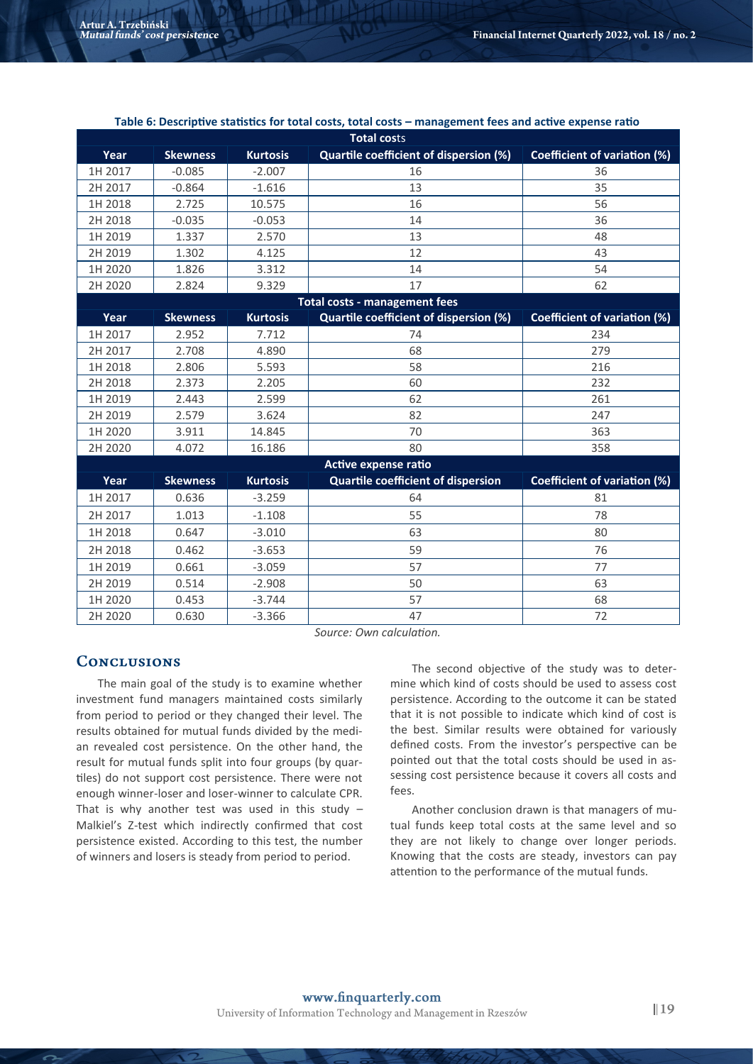| <b>Total costs</b>                   |                 |                 |                                           |                                     |  |  |  |  |
|--------------------------------------|-----------------|-----------------|-------------------------------------------|-------------------------------------|--|--|--|--|
| Year                                 | <b>Skewness</b> | <b>Kurtosis</b> | Quartile coefficient of dispersion (%)    | <b>Coefficient of variation (%)</b> |  |  |  |  |
| 1H 2017                              | $-0.085$        | $-2.007$        | 16                                        | 36                                  |  |  |  |  |
| 2H 2017                              | $-0.864$        | $-1.616$        | 13                                        | 35                                  |  |  |  |  |
| 1H 2018                              | 2.725           | 10.575          | 16                                        | 56                                  |  |  |  |  |
| 2H 2018                              | $-0.035$        | $-0.053$        | 14                                        | 36                                  |  |  |  |  |
| 1H 2019                              | 1.337           | 2.570           | 13                                        | 48                                  |  |  |  |  |
| 2H 2019                              | 1.302           | 4.125           | 12                                        | 43                                  |  |  |  |  |
| 1H 2020                              | 1.826           | 3.312           | 14                                        | 54                                  |  |  |  |  |
| 2H 2020                              | 2.824           | 9.329           | 17                                        | 62                                  |  |  |  |  |
| <b>Total costs - management fees</b> |                 |                 |                                           |                                     |  |  |  |  |
| Year                                 | <b>Skewness</b> | <b>Kurtosis</b> | Quartile coefficient of dispersion (%)    | <b>Coefficient of variation (%)</b> |  |  |  |  |
| 1H 2017                              | 2.952           | 7.712           | 74                                        | 234                                 |  |  |  |  |
| 2H 2017                              | 2.708           | 4.890           | 68                                        | 279                                 |  |  |  |  |
| 1H 2018                              | 2.806           | 5.593           | 58                                        | 216                                 |  |  |  |  |
| 2H 2018                              | 2.373           | 2.205           | 60                                        | 232                                 |  |  |  |  |
| 1H 2019                              | 2.443           | 2.599           | 62                                        | 261                                 |  |  |  |  |
| 2H 2019                              | 2.579           | 3.624           | 82                                        | 247                                 |  |  |  |  |
| 1H 2020                              | 3.911           | 14.845          | 70                                        | 363                                 |  |  |  |  |
| 2H 2020                              | 4.072           | 16.186          | 80                                        | 358                                 |  |  |  |  |
|                                      |                 |                 | Active expense ratio                      |                                     |  |  |  |  |
| Year                                 | <b>Skewness</b> | <b>Kurtosis</b> | <b>Quartile coefficient of dispersion</b> | <b>Coefficient of variation (%)</b> |  |  |  |  |
| 1H 2017                              | 0.636           | $-3.259$        | 64                                        | 81                                  |  |  |  |  |
| 2H 2017                              | 1.013           | $-1.108$        | 55                                        | 78                                  |  |  |  |  |
| 1H 2018                              | 0.647           | $-3.010$        | 63                                        | 80                                  |  |  |  |  |
| 2H 2018                              | 0.462           | $-3.653$        | 59                                        | 76                                  |  |  |  |  |
| 1H 2019                              | 0.661           | $-3.059$        | 57                                        | 77                                  |  |  |  |  |
| 2H 2019                              | 0.514           | $-2.908$        | 50                                        | 63                                  |  |  |  |  |
| 1H 2020                              | 0.453           | $-3.744$        | 57                                        | 68                                  |  |  |  |  |
| 2H 2020                              | 0.630           | $-3.366$        | 47                                        | 72                                  |  |  |  |  |

#### **Table 6: Descriptive statistics for total costs, total costs – management fees and active expense ratio**

*Source: Own calculation.*

# **CONCLUSIONS**

The main goal of the study is to examine whether investment fund managers maintained costs similarly from period to period or they changed their level. The results obtained for mutual funds divided by the median revealed cost persistence. On the other hand, the result for mutual funds split into four groups (by quartiles) do not support cost persistence. There were not enough winner-loser and loser-winner to calculate CPR. That is why another test was used in this study  $-$ Malkiel's Z-test which indirectly confirmed that cost persistence existed. According to this test, the number of winners and losers is steady from period to period.

The second objective of the study was to determine which kind of costs should be used to assess cost persistence. According to the outcome it can be stated that it is not possible to indicate which kind of cost is the best. Similar results were obtained for variously defined costs. From the investor's perspective can be pointed out that the total costs should be used in assessing cost persistence because it covers all costs and fees.

Another conclusion drawn is that managers of mutual funds keep total costs at the same level and so they are not likely to change over longer periods. Knowing that the costs are steady, investors can pay attention to the performance of the mutual funds.